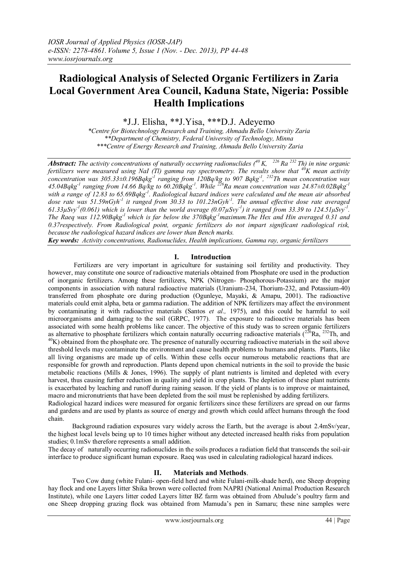# **Radiological Analysis of Selected Organic Fertilizers in Zaria Local Government Area Council, Kaduna State, Nigeria: Possible Health Implications**

\*J.J. Elisha, \*\*J.Yisa, \*\*\*D.J. Adeyemo

*\*Centre for Biotechnology Research and Training, Ahmadu Bello University Zaria \*\*Department of Chemistry, Federal University of Technology, Minna \*\*\*Centre of Energy Research and Training, Ahmadu Bello University Zaria*

*Abstract: The activity concentrations of naturally occurring radionuclides (<sup>40</sup>K, <sup>226</sup>Ra <sup>232</sup>Th) in nine organic fertilizers were measured using NaI (Tl) gamma ray spectrometry. The results show that <sup>40</sup>K mean activity concentration was 305.33±0.196Bqkg-1 ranging from 120Bq/kg to 907 Bqkg-1 , <sup>232</sup>Th mean concentration was 45.04Bqkg-1 ranging from 14.66 Bq/kg to 60.20Bqkg-1 . While <sup>226</sup>Ra mean concentration was 24.87±0.02Bqkg-1 with a range of 12.83 to 65.69Bqkg-1 . Radiological hazard indices were calculated and the mean air absorbed*  dose rate was 51.59nGyh<sup>-1</sup> it ranged from 30.33 to 101.23nGyh<sup>-1</sup>. The annual effective dose rate averaged  $61.33\mu$ Svy<sup>-1</sup>(0.061) which is lower than the world average (0.07 $\mu$ Svy<sup>-1</sup>) it ranged from 33.39 to 124.51 $\mu$ Svy<sup>-1</sup>. *The Raeq was 112.90Bqkg-1 which is far below the 370Bqkg-1maximum.The Hex and Hin averaged 0.31 and 0.37respectively. From Radiological point, organic fertilizers do not impart significant radiological risk, because the radiological hazard indices are lower than Bench marks.*

*Key words: Activity concentrations, Radionuclides, Health implications, Gamma ray, organic fertilizers*

#### **I. Introduction**

Fertilizers are very important in agriculture for sustaining soil fertility and productivity. They however, may constitute one source of radioactive materials obtained from Phosphate ore used in the production of inorganic fertilizers. Among these fertilizers, NPK (Nitrogen- Phosphorous-Potassium) are the major components in association with natural radioactive materials (Uranium-234, Thorium-232, and Potassium-40) transferred from phosphate ore during production (Ogunleye, Mayaki, & Amapu, 2001). The radioactive materials could emit alpha, beta or gamma radiation. The addition of NPK fertilizers may affect the environment by contaminating it with radioactive materials (Santos *et al.,* 1975), and this could be harmful to soil microorganisms and damaging to the soil (GRPC, 1977). The exposure to radioactive materials has been associated with some health problems like cancer. The objective of this study was to screen organic fertilizers as alternative to phosphate fertilizers which contain naturally occurring radioactive materials ( $^{226}Ra$ ,  $^{232}Th$ , and  $40$ K) obtained from the phosphate ore. The presence of naturally occurring radioactive materials in the soil above threshold levels may contaminate the environment and cause health problems to humans and plants. Plants, like all living organisms are made up of cells. Within these cells occur numerous metabolic reactions that are responsible for growth and reproduction. Plants depend upon chemical nutrients in the soil to provide the basic metabolic reactions (Mills & Jones, 1996). The supply of plant nutrients is limited and depleted with every harvest, thus causing further reduction in quality and yield in crop plants. The depletion of these plant nutrients is exacerbated by leaching and runoff during raining season. If the yield of plants is to improve or maintained, macro and micronutrients that have been depleted from the soil must be replenished by adding fertilizers.

Radiological hazard indices were measured for organic fertilizers since these fertilizers are spread on our farms and gardens and are used by plants as source of energy and growth which could affect humans through the food chain.

Background radiation exposures vary widely across the Earth, but the average is about 2.4mSv/year, the highest local levels being up to 10 times higher without any detected increased health risks from population studies; 0.1mSv therefore represents a small addition.

The decay of naturally occurring radionuclides in the soils produces a radiation field that transcends the soil-air interface to produce significant human exposure. Raeq was used in calculating radiological hazard indices.

## **II. Materials and Methods**.

Two Cow dung (white Fulani- open-field herd and white Fulani-milk-shade herd), one Sheep dropping hay flock and one Layers litter Shika brown were collected from NAPRI (National Animal Production Research Institute), while one Layers litter coded Layers litter BZ farm was obtained from Abulude's poultry farm and one Sheep dropping grazing flock was obtained from Mamuda's pen in Samaru; these nine samples were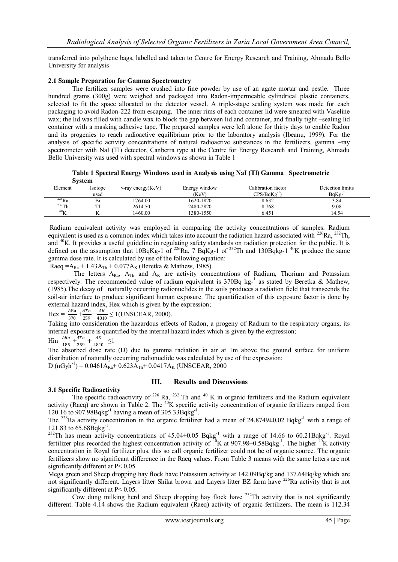transferred into polythene bags, labelled and taken to Centre for Energy Research and Training, Ahmadu Bello University for analysis

#### **2.1 Sample Preparation for Gamma Spectrometry**

The fertilizer samples were crushed into fine powder by use of an agate mortar and pestle. Three hundred grams (300g) were weighed and packaged into Radon-impermeable cylindrical plastic containers, selected to fit the space allocated to the detector vessel. A triple-stage sealing system was made for each packaging to avoid Radon-222 from escaping. The inner rims of each container lid were smeared with Vaseline wax; the lid was filled with candle wax to block the gap between lid and container, and finally tight –sealing lid container with a masking adhesive tape. The prepared samples were left alone for thirty days to enable Radon and its progenies to reach radioactive equilibrium prior to the laboratory analysis (Ibeanu, 1999). For the analysis of specific activity concentrations of natural radioactive substances in the fertilizers, gamma –ray spectrometer with NaI (Tl) detector, Canberra type at the Centre for Energy Research and Training, Ahmadu Bello University was used with spectral windows as shown in Table 1

**Table 1 Spectral Energy Windows used in Analysis using NaI (Tl) Gamma Spectrometric System**

| Detection limits<br>Calibration factor<br>Element<br>$\gamma$ -ray energy(KeV)<br>Isotope<br>Energy window<br>$BqKg^{-1}$<br>$CPS/BqKg^{-1}$<br>(KeV)<br>used<br>$^{226}$ Ra<br>1764.00<br>1620-1820<br>8.632<br>Bi<br>3.84<br>$232$ Th<br>9.08<br>2480-2820<br>2614.50<br>8.768<br>40 <sub>l</sub> |  |         |           |       |       |
|-----------------------------------------------------------------------------------------------------------------------------------------------------------------------------------------------------------------------------------------------------------------------------------------------------|--|---------|-----------|-------|-------|
|                                                                                                                                                                                                                                                                                                     |  |         |           |       |       |
|                                                                                                                                                                                                                                                                                                     |  |         |           |       |       |
|                                                                                                                                                                                                                                                                                                     |  |         |           |       |       |
|                                                                                                                                                                                                                                                                                                     |  |         |           |       |       |
|                                                                                                                                                                                                                                                                                                     |  | 1460.00 | 1380-1550 | 6.451 | 14.54 |

Radium equivalent activity was employed in comparing the activity concentrations of samples. Radium equivalent is used as a common index which takes into account the radiation hazard associated with <sup>226</sup>Ra, <sup>232</sup>Th, and <sup>40</sup>K. It provides a useful guideline in regulating safety standards on radiation protection for the public. It is defined on the assumption that  $10BqKg-1$  of  $^{226}Ra$ , 7 BqKg-1 of  $^{232}Th$  and  $130Bqkg-1$  <sup>40</sup>K produce the same gamma dose rate. It is calculated by use of the following equation:

Raeq = A<sub>Ra</sub> + 1.43A<sub>Th</sub> + 0.077A<sub>K</sub> (Beretka & Mathew, 1985).

The letters  $A_{Ra}$ ,  $A_{Th}$  and  $A_K$  are activity concentrations of Radium, Thorium and Potassium respectively. The recommended value of radium equivalent is  $370Bq kg<sup>-1</sup>$  as stated by Beretka & Mathew, (1985).The decay of naturally occurring radionuclides in the soils produces a radiation field that transcends the soil-air interface to produce significant human exposure. The quantification of this exposure factor is done by external hazard index, Hex which is given by the expression;

Hex =  $\frac{ARa}{370} + \frac{ATh}{259}$  $\frac{ATh}{259} + \frac{AK}{481}$  $\frac{AR}{4810} \leq 1$ (UNSCEAR, 2000).

Taking into consideration the hazardous effects of Radon, a progeny of Radium to the respiratory organs, its internal exposure is quantified by the internal hazard index which is given by the expression;

$$
Hin = \frac{ARa}{105} + \frac{ATh}{250} + \frac{AK}{4910} \le 1
$$

<sup>185</sup><sup>185</sup><sub>185</sub><sup>1</sup><sub>4810</sub><sup>--</sup><br>The absorbed dose rate (D) due to gamma radiation in air at 1m above the ground surface for uniform distribution of naturally occurring radionuclide was calculated by use of the expression: D (nGyh<sup>-1</sup>) = 0.0461A<sub>Ra</sub>+ 0.623A<sub>Th</sub>+ 0.0417A<sub>K</sub> (UNSCEAR, 2000

## **3.1 Specific Radioactivity**

## **III. Results and Discussions**

The specific radioactivity of  $^{226}$  Ra,  $^{232}$  Th and  $^{40}$  K in organic fertilizers and the Radium equivalent activity (Raeq) are shown in Table 2. The  $40K$  specific activity concentration of organic fertilizers ranged from 120.16 to 907.98Bqkg<sup>-1</sup> having a mean of 305.33Bqkg<sup>-1</sup>.

The <sup>226</sup>Ra activity concentration in the organic fertilizer had a mean of  $24.8749\pm0.02$  Bqkg<sup>-1</sup> with a range of 121.83 to 65.68Bqkg<sup>-1</sup>.

<sup>232</sup>Th has mean activity concentrations of  $45.04 \pm 0.05$  Bqkg<sup>-1</sup> with a range of 14.66 to 60.21Bqkg<sup>-1</sup>. Royal fertilizer plus recorded the highest concentration activity of  $^{40}$ K at 907.98 $\pm$ 0.58Bqkg<sup>-1</sup>. The higher  $^{40}$ K activity concentration in Royal fertilizer plus, this so call organic fertilizer could not be of organic source. The organic fertilizers show no significant difference in the Raeq values. From Table 3 means with the same letters are not significantly different at P< 0.05.

Mega green and Sheep dropping hay flock have Potassium activity at 142.09Bq/kg and 137.64Bq/kg which are not significantly different. Layers litter Shika brown and Layers litter BZ farm have <sup>226</sup>Ra activity that is not significantly different at P< 0.05.

Cow dung milking herd and Sheep dropping hay flock have  $^{232}$ Th activity that is not significantly different. Table 4.14 shows the Radium equivalent (Raeq) activity of organic fertilizers. The mean is 112.34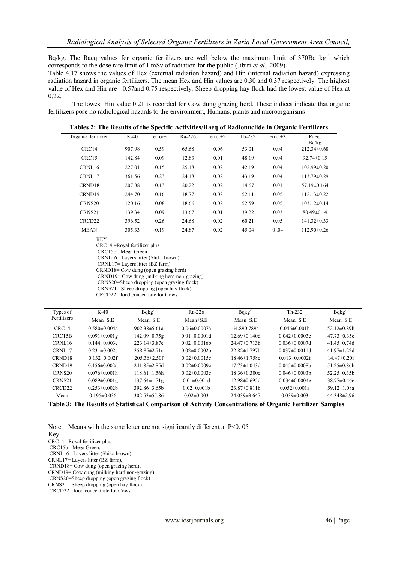Bq/kg. The Raeq values for organic fertilizers are well below the maximum limit of  $370Bq$  kg<sup>-1</sup> which corresponds to the dose rate limit of 1 mSv of radiation for the public (Jibiri *et al.,* 2009).

Table 4.17 shows the values of Hex (external radiation hazard) and Hin (internal radiation hazard) expressing radiation hazard in organic fertilizers. The mean Hex and Hin values are 0.30 and 0.37 respectively. The highest value of Hex and Hin are 0.57and 0.75 respectively. Sheep dropping hay flock had the lowest value of Hex at 0.22.

The lowest Hin value 0.21 is recorded for Cow dung grazing herd. These indices indicate that organic fertilizers pose no radiological hazards to the environment, Humans, plants and microorganisms

| Organic fertilizer | $K-40$ | $error\pm$ | Ra-226 | $error\pm2$ | $Th-232$ | $error\pm3$ | Raeq.<br>Bq/kg    |
|--------------------|--------|------------|--------|-------------|----------|-------------|-------------------|
| CRC14              | 907.98 | 0.59       | 65.68  | 0.06        | 53.01    | 0.04        | $212.34 \pm 0.68$ |
| CRC15              | 142.84 | 0.09       | 12.83  | 0.01        | 48.19    | 0.04        | $92.74 \pm 0.15$  |
| CRNL16             | 227.01 | 0.15       | 25.18  | 0.02        | 42.19    | 0.04        | $102.99\pm0.20$   |
| CRNL17             | 361.56 | 0.23       | 24.18  | 0.02        | 43.19    | 0.04        | $113.79\pm0.29$   |
| CRND18             | 207.88 | 0.13       | 20.22  | 0.02        | 14.67    | 0.01        | $57.19 \pm 0.164$ |
| CRND19             | 244.70 | 0.16       | 18.77  | 0.02        | 52.11    | 0.05        | $112.13 \pm 0.22$ |
| CRNS20             | 120.16 | 0.08       | 18.66  | 0.02        | 52.59    | 0.05        | $103.12\pm0.14$   |
| CRNS21             | 139.34 | 0.09       | 13.67  | 0.01        | 39.22    | 0.03        | $80.49 \pm 0.14$  |
| CRCD22             | 396.52 | 0.26       | 24.68  | 0.02        | 60.21    | 0.05        | $141.32 \pm 0.33$ |
| <b>MEAN</b>        | 305.33 | 0.19       | 24.87  | 0.02        | 45.04    | 0.04        | $112.90\pm0.26$   |

**Tables 2: The Results of the Specific Activities/Raeq of Radionuclide in Organic Fertilizers**

KEY

CRC14 =Royal fertilizer plus

CRC15b= Mega Green

CRNL16= Layers litter (Shika brown)

CRNL17= Layers litter (BZ farm), CRND18= Cow dung (open grazing herd)

CRND19= Cow dung (milking herd non-grazing)

CRNS20=Sheep dropping (open grazing flock)

CRNS21= Sheep dropping (open hay flock),

CRCD22= food concentrate for Cows

| Types of            | $K-40$              | $Bqkg^{-1}$         | $Ra-226$            | $Bqkg^{-1}$         | $Th-232$             | $Bqkg^{-1}$        |
|---------------------|---------------------|---------------------|---------------------|---------------------|----------------------|--------------------|
| Fertilizers         | Mean $\pm$ S.E      | Mean $\pm$ S.E      | Mean $\pm$ S.E      | Mean $\pm$ S.E      | Mean $\pm$ S.E       | Mean $\pm$ S.E     |
| CRC14               | $0.580 \pm 0.004a$  | $902.38 \pm 5.61a$  | $0.06 \pm 0.0007a$  | 64.890.789a         | $0.046\pm0.001h$     | 52.12 $\pm$ 0.89b  |
| CRC <sub>15</sub> B | $0.091 \pm 0.001$ g | 142.09±0.75g        | $0.01 \pm 0.0001 d$ | $12.69\pm0.140d$    | $0.042 \pm 0.0003c$  | $47.73 \pm 0.35c$  |
| CRNL16              | $0.144 \pm 0.003e$  | $223.14\pm3.87e$    | $0.02\pm0.0016h$    | $24.47\pm 0.713h$   | $0.036 \pm 0.0007$ d | 41.45 $\pm$ 0.74d  |
| CRNL17              | $0.231 \pm 0.002c$  | $358.85 \pm 2.71c$  | $0.02\pm0.0002h$    | $22.82 \pm 1.797$ h | $0.037\pm0.0011d$    | $41.97 \pm 1.22$ d |
| CRND <sub>18</sub>  | $0.132\pm0.002$ f   | $205.36\pm2.50$ f   | $0.02\pm0.0015c$    | $18.46 \pm 1.758c$  | $0.013 \pm 0.0002$ f | $14.47\pm0.20$ f   |
| CRND <sub>19</sub>  | $0.156 \pm 0.002d$  | $241.85 \pm 2.85$ d | $0.02\pm0.0009c$    | $17.73 \pm 1.043$ d | $0.045 \pm 0.0008$ b | 51.25 $\pm$ 0.86b  |
| CRNS <sub>20</sub>  | $0.076 \pm 0.001 h$ | $118.61 \pm 1.56h$  | $0.02\pm0.0003c$    | $18.36\pm0.300c$    | $0.046 \pm 0.0003$ b | $52.25 \pm 0.35$ h |
| CRNS <sub>21</sub>  | $0.089 \pm 0.001$ g | $137.64 \pm 1.71$ g | $0.01 \pm 0.001 d$  | $12.98\pm0.695d$    | $0.034 \pm 0.0004e$  | $38.77 \pm 0.46$ e |
| CRCD <sub>22</sub>  | $0.253 \pm 0.002$ b | $392.86\pm3.65h$    | $0.02\pm0.001h$     | $23.87\pm0.811h$    | $0.052 \pm 0.001a$   | 59.12 $\pm$ 1.08a  |
| Mean                | $0.195 \pm 0.036$   | $302.53 \pm 55.86$  | $0.02\pm0.003$      | $24.039\pm3.647$    | $0.039\pm0.003$      | $44.348\pm2.96$    |

**Table 3: The Results of Statistical Comparison of Activity Concentrations of Organic Fertilizer Samples**

Note: Means with the same letter are not significantly different at P<0.05

Key

CRC14 =Royal fertilizer plus

CRC15b= Mega Green,

CRNL16= Layers litter (Shika brown),

CRNL17= Layers litter (BZ farm),

CRND18= Cow dung (open grazing herd),

CRND19= Cow dung (milking herd non-grazing)

CRNS20=Sheep dropping (open grazing flock)

CRNS21= Sheep dropping (open hay flock), CRCD22= food concentrate for Cows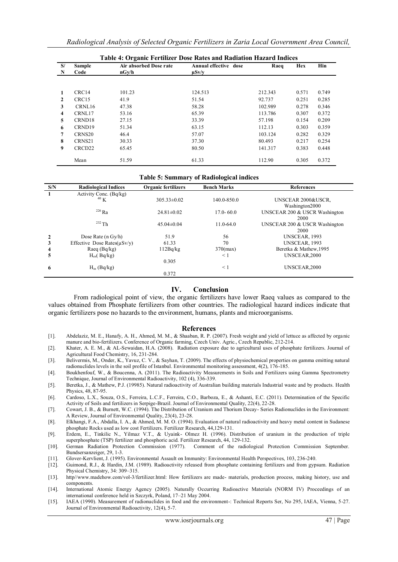| <b>Table 4: Organic Fertilizer Dose Rates and Radiation Hazard Indices</b> |                       |                                 |                                     |         |       |       |  |
|----------------------------------------------------------------------------|-----------------------|---------------------------------|-------------------------------------|---------|-------|-------|--|
| S/<br>N                                                                    | <b>Sample</b><br>Code | Air absorbed Dose rate<br>nGv/h | Annual effective dose<br>$\mu$ Sv/y | Raeq    | Hex   | Hin   |  |
|                                                                            |                       |                                 |                                     |         |       |       |  |
| 1                                                                          | CRC <sub>14</sub>     | 101.23                          | 124.513                             | 212.343 | 0.571 | 0.749 |  |
| $\mathbf{2}$                                                               | CRC <sub>15</sub>     | 41.9                            | 51.54                               | 92.737  | 0.251 | 0.285 |  |
| 3                                                                          | CRNL16                | 47.38                           | 58.28                               | 102.989 | 0.278 | 0.346 |  |
| 4                                                                          | CRNL17                | 53.16                           | 65.39                               | 113.786 | 0.307 | 0.372 |  |
| 5.                                                                         | CRND18                | 27.15                           | 33.39                               | 57.198  | 0.154 | 0.209 |  |
| 6                                                                          | CRND19                | 51.34                           | 63.15                               | 112.13  | 0.303 | 0.359 |  |
| 7                                                                          | CRNS <sub>20</sub>    | 46.4                            | 57.07                               | 103.124 | 0.282 | 0.329 |  |
| 8                                                                          | CRNS21                | 30.33                           | 37.30                               | 80.493  | 0.217 | 0.254 |  |
| 9                                                                          | CRCD22                | 65.45                           | 80.50                               | 141.317 | 0.383 | 0.448 |  |
|                                                                            | Mean                  | 51.59                           | 61.33                               | 112.90  | 0.305 | 0.372 |  |

#### **Table 5: Summary of Radiological indices**

| S/N            | <b>Radiological Indices</b>       | <b>Organic fertilizers</b> | <b>Bench Marks</b> | <b>References</b>             |
|----------------|-----------------------------------|----------------------------|--------------------|-------------------------------|
|                | Activity Conc. (Bq/kg)            |                            |                    |                               |
|                | 40 K                              | $305.33 \pm 0.02$          | 140.0-850.0        | UNSCEAR 2000&USCR.            |
|                |                                   |                            |                    | Washington2000                |
|                | $226$ Ra                          | $24.81 \pm 0.02$           | $17.0 - 60.0$      | UNSCEAR 200 & USCR Washington |
|                |                                   |                            |                    | 2000                          |
|                | $232$ Th                          | $45.04 \pm 0.04$           | $11.0 - 64.0$      | UNSCEAR 200 & USCR Washington |
|                |                                   |                            |                    | 2000                          |
| $\mathbf{2}$   | Dose Rate ( $n$ Gy/h)             | 51.9                       | 56                 | UNSCEAR, 1993                 |
| 3              | Effective Dose Rates( $\mu$ Sv/y) | 61.33                      | 70                 | UNSCEAR, 1993                 |
| $\overline{4}$ | Raeq $(Bq/kg)$                    | 112Bq/kg                   | $370$ (max)        | Beretka & Mathew, 1995        |
| 5              | $H_{ex}$ (Bq/kg)                  |                            | $\leq$ 1           | UNSCEAR, 2000                 |
|                |                                   | 0.305                      |                    |                               |
| 6              | $H_{in}$ (Bq/kg)                  |                            | $\leq$ 1           | UNSCEAR, 2000                 |
|                |                                   | 0.372                      |                    |                               |

#### **IV. Conclusion**

From radiological point of view, the organic fertilizers have lower Raeq values as compared to the values obtained from Phosphate fertilizers from other countries. The radiological hazard indices indicate that organic fertilizers pose no hazards to the environment, humans, plants and microorganisms.

#### **References**

- [1]. Abdelaziz, M. E., Hanafy, A. H., Ahmed, M. M., & Shaaban, R. P. (2007). Fresh weight and yield of lettuce as affected by orga nic manure and bio-fertilizers. Conference of Organic farming, Czech Univ. Agric., Czech Republic, 212-214.
- [2]. Khater, A. E. M., & AL-Sewaidan, H.A. (2008). Radiation exposure due to agricultural uses of phosphate fertilizers. Journal of Agricultural Food Chemistry, 16, 231-284.
- [3]. Belivermis, M., Onder, K., Yavuz, C. V., & Sayhan, T. (2009). The effects of physiochemical properties on gamma emitting natural radionuclides levels in the soil profile of Istanbul. Environmental monitoring assessment, 4(2), 176-185.
- [4]. Boukhenfouf, W., & Boucenna, A. (2011). The Radioactivity Measurements in Soils and Fertilizers using Gamma Spectrometry Technique, Journal of Environmental Radioactivity, 102 (4), 336-339.
- [5]. Beretka, J., & Mathew, P.J. (19985). Natural radioactivity of Australian building materials Industrial waste and by products. Health Physics, 48, 87-95.
- [6]. Cardoso, L.X., Souza, O.S., Ferreira, L.C.F., Ferreira, C.O., Barboza, E., & Ashanti, E.C. (2011). Determination of the Specific Activity of Soils and fertilizers in Serpige-Brazil. Journal of Environmental Quality, 22(4), 22-28.
- [7]. Cowart, J. B., & Burnett, W.C. (1994). The Distribution of Uranium and Thorium Decay- Series Radionuclides in the Environment: A Review, Journal of Environmental Quality, 23(4), 23-28.
- [8]. Elkhangi, F.A., Abdalla, I. A., & Ahmed, M. M. O. (1994). Evaluation of natural radioactivity and heavy metal content in Sudanese phosphate Rocks used as low cost Fertilizers. Fertilizer Research, 44,129-131.
- [9]. Erdem, E., Tinkilic N., Yilmaz V.T., & Uyaink- Olmez H. (1996). Distribution of uranium in the production of triple superphosphate (TSP) fertilizer and phosphoric acid. Fertilizer Research, 44, 129-132.
- [10]. German Radiation Protection Commission (1977). Comment of the radiological Protection Commission September. Bundsersanzeiger, 29, 1-3.
- [11]. Glover-Kervlient, J. (1995). Environmental Assault on Immunity: Environmental Health Perspectives, 103, 236-240.
- [12]. Guimond, R.J., & Hardin, J.M. (1989). Radioactivity released from phosphate containing fertilizers and from gypsum. Radiation Physical Chemistry, 34: 309–315.
- [13]. http//www.madehow.com/vol-3/fertilizer.html: How fertilizers are made- materials, production process, making history, use and components.
- [14]. International Atomic Energy Agency (2005). Naturally Occurring Radioactive Materials (NORM IV) Proceedings of an international conference held in Szczyrk, Poland, 17–21 May 2004.
- [15]. IAEA (1990). Measurement of radionuclides in food and the environment-: Technical Reports Ser, No 295, IAEA, Vienna, 5-27. Journal of Environmental Radioactivity, 12(4), 5-7.